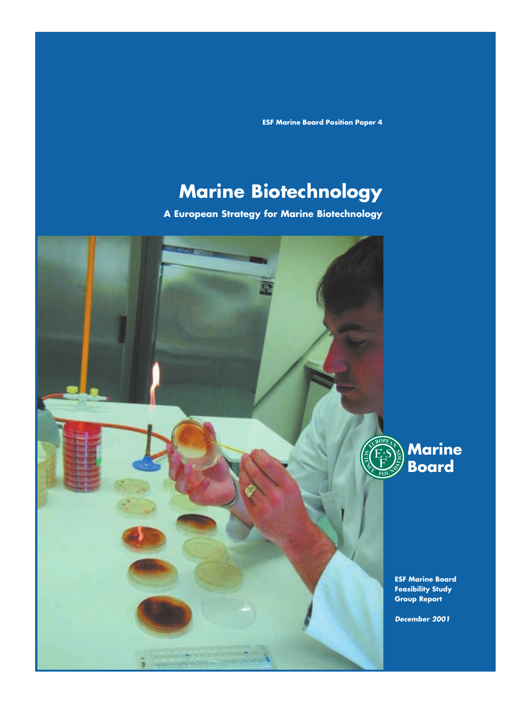**ESF Marine Board Position Paper 4**

# **Marine Biotechnology**

**A European Strategy for Marine Biotechnology**

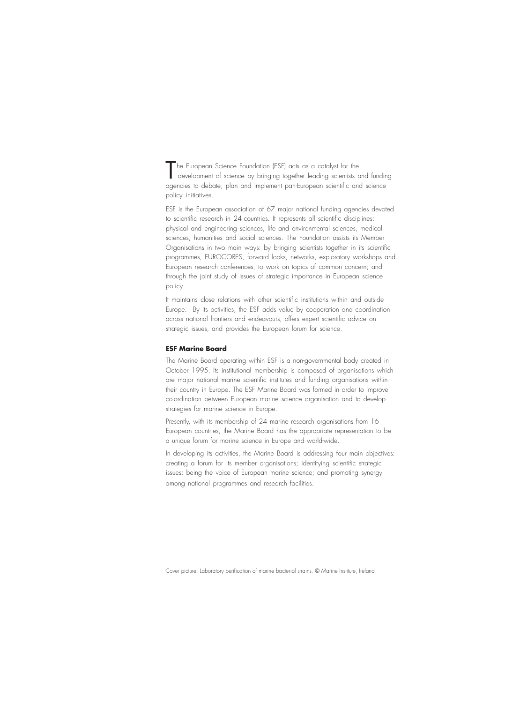The European Science Foundation (ESF) acts as a catalyst for the<br>development of science by bringing together leading scientists and funding<br>intervalsed and the contract of the contract of the contract of the contract of th agencies to debate, plan and implement pan-European scientific and science policy initiatives.

ESF is the European association of 67 major national funding agencies devoted to scientific research in 24 countries. It represents all scientific disciplines: physical and engineering sciences, life and environmental sciences, medical sciences, humanities and social sciences. The Foundation assists its Member Organisations in two main ways: by bringing scientists together in its scientific programmes, EUROCORES, forward looks, networks, exploratory workshops and European research conferences, to work on topics of common concern; and through the joint study of issues of strategic importance in European science policy.

It maintains close relations with other scientific institutions within and outside Europe. By its activities, the ESF adds value by cooperation and coordination across national frontiers and endeavours, offers expert scientific advice on strategic issues, and provides the European forum for science.

#### **ESF Marine Board**

The Marine Board operating within ESF is a non-governmental body created in October 1995. Its institutional membership is composed of organisations which are major national marine scientific institutes and funding organisations within their country in Europe. The ESF Marine Board was formed in order to improve co-ordination between European marine science organisation and to develop strategies for marine science in Europe.

Presently, with its membership of 24 marine research organisations from 16 European countries, the Marine Board has the appropriate representation to be a unique forum for marine science in Europe and world-wide.

In developing its activities, the Marine Board is addressing four main objectives: creating a forum for its member organisations; identifying scientific strategic issues; being the voice of European marine science; and promoting synergy among national programmes and research facilities.

Cover picture: Laboratory purification of marine bacterial strains. © Marine Institute, Ireland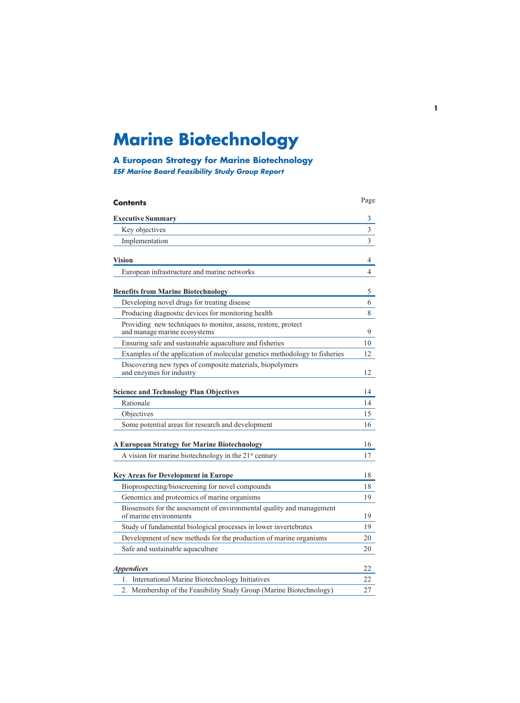# **Marine Biotechnology**

## **A European Strategy for Marine Biotechnology ESF Marine Board Feasibility Study Group Report**

| <b>Contents</b>                                                                                 | Page |
|-------------------------------------------------------------------------------------------------|------|
| <b>Executive Summary</b>                                                                        | 3    |
| Key objectives                                                                                  | 3    |
| Implementation                                                                                  | 3    |
| Vision                                                                                          | 4    |
| European infrastructure and marine networks                                                     | 4    |
| <b>Benefits from Marine Biotechnology</b>                                                       | 5    |
| Developing novel drugs for treating disease                                                     | 6    |
| Producing diagnostic devices for monitoring health                                              | 8    |
| Providing new techniques to monitor, assess, restore, protect<br>and manage marine ecosystems   | 9    |
| Ensuring safe and sustainable aquaculture and fisheries                                         | 10   |
| Examples of the application of molecular genetics methodology to fisheries                      | 12   |
| Discovering new types of composite materials, biopolymers<br>and enzymes for industry           | 12   |
| <b>Science and Technology Plan Objectives</b>                                                   | 14   |
| Rationale                                                                                       | 14   |
| Objectives                                                                                      | 15   |
| Some potential areas for research and development                                               | 16   |
| <b>A European Strategy for Marine Biotechnology</b>                                             | 16   |
| A vision for marine biotechnology in the 21 <sup>st</sup> century                               | 17   |
|                                                                                                 |      |
| <b>Key Areas for Development in Europe</b>                                                      | 18   |
| Bioprospecting/bioscreening for novel compounds                                                 | 18   |
| Genomics and proteomics of marine organisms                                                     | 19   |
| Biosensors for the assessment of environmental quality and management<br>of marine environments | 19   |
| Study of fundamental biological processes in lower invertebrates                                | 19   |
| Development of new methods for the production of marine organisms                               | 20   |
| Safe and sustainable aquaculture                                                                | 20   |
| <b>Appendices</b>                                                                               | 22   |
| International Marine Biotechnology Initiatives<br>1.                                            | 22   |
| Membership of the Feasibility Study Group (Marine Biotechnology)<br>2.                          | 27   |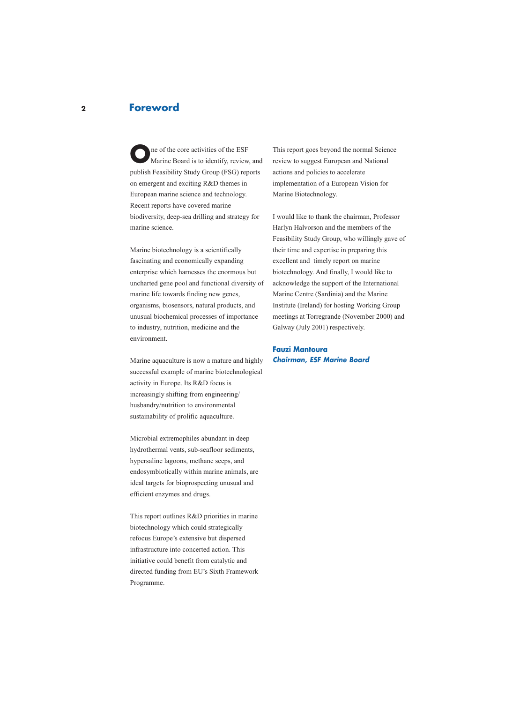## **Foreword**

**O**ne of the core activities of the ESF<br>Marine Board is to identify, review, and publish Feasibility Study Group (FSG) reports on emergent and exciting R&D themes in European marine science and technology. Recent reports have covered marine biodiversity, deep-sea drilling and strategy for marine science.

Marine biotechnology is a scientifically fascinating and economically expanding enterprise which harnesses the enormous but uncharted gene pool and functional diversity of marine life towards finding new genes, organisms, biosensors, natural products, and unusual biochemical processes of importance to industry, nutrition, medicine and the environment.

Marine aquaculture is now a mature and highly successful example of marine biotechnological activity in Europe. Its R&D focus is increasingly shifting from engineering/ husbandry/nutrition to environmental sustainability of prolific aquaculture.

Microbial extremophiles abundant in deep hydrothermal vents, sub-seafloor sediments, hypersaline lagoons, methane seeps, and endosymbiotically within marine animals, are ideal targets for bioprospecting unusual and efficient enzymes and drugs.

This report outlines R&D priorities in marine biotechnology which could strategically refocus Europe's extensive but dispersed infrastructure into concerted action. This initiative could benefit from catalytic and directed funding from EU's Sixth Framework Programme.

This report goes beyond the normal Science review to suggest European and National actions and policies to accelerate implementation of a European Vision for Marine Biotechnology.

I would like to thank the chairman, Professor Harlyn Halvorson and the members of the Feasibility Study Group, who willingly gave of their time and expertise in preparing this excellent and timely report on marine biotechnology. And finally, I would like to acknowledge the support of the International Marine Centre (Sardinia) and the Marine Institute (Ireland) for hosting Working Group meetings at Torregrande (November 2000) and Galway (July 2001) respectively.

**Fauzi Mantoura Chairman, ESF Marine Board**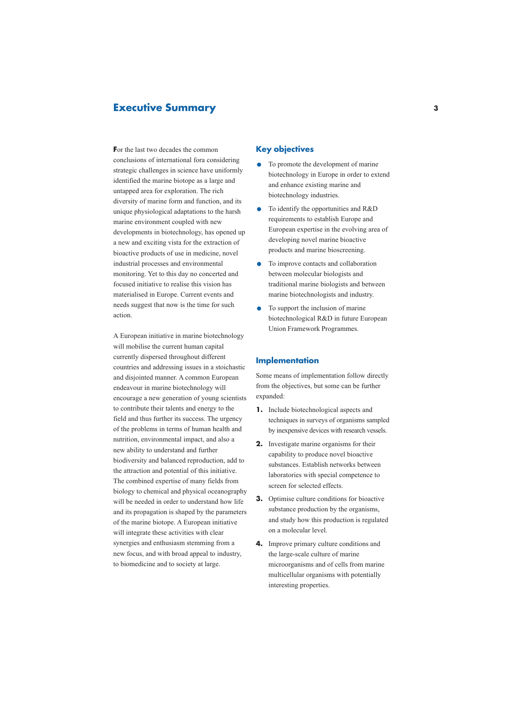## **Executive Summary**

**F**or the last two decades the common conclusions of international fora considering strategic challenges in science have uniformly identified the marine biotope as a large and untapped area for exploration. The rich diversity of marine form and function, and its unique physiological adaptations to the harsh marine environment coupled with new developments in biotechnology, has opened up a new and exciting vista for the extraction of bioactive products of use in medicine, novel industrial processes and environmental monitoring. Yet to this day no concerted and focused initiative to realise this vision has materialised in Europe. Current events and needs suggest that now is the time for such action.

A European initiative in marine biotechnology will mobilise the current human capital currently dispersed throughout different countries and addressing issues in a stoichastic and disjointed manner. A common European endeavour in marine biotechnology will encourage a new generation of young scientists to contribute their talents and energy to the field and thus further its success. The urgency of the problems in terms of human health and nutrition, environmental impact, and also a new ability to understand and further biodiversity and balanced reproduction, add to the attraction and potential of this initiative. The combined expertise of many fields from biology to chemical and physical oceanography will be needed in order to understand how life and its propagation is shaped by the parameters of the marine biotope. A European initiative will integrate these activities with clear synergies and enthusiasm stemming from a new focus, and with broad appeal to industry, to biomedicine and to society at large.

## **Key objectives**

- **.** To promote the development of marine biotechnology in Europe in order to extend and enhance existing marine and biotechnology industries.
- **.** To identify the opportunities and R&D requirements to establish Europe and European expertise in the evolving area of developing novel marine bioactive products and marine bioscreening.
- **.** To improve contacts and collaboration between molecular biologists and traditional marine biologists and between marine biotechnologists and industry.
- **.** To support the inclusion of marine biotechnological R&D in future European Union Framework Programmes.

#### **Implementation**

Some means of implementation follow directly from the objectives, but some can be further expanded:

- **1.** Include biotechnological aspects and techniques in surveys of organisms sampled by inexpensive devices with research vessels.
- **2.** Investigate marine organisms for their capability to produce novel bioactive substances. Establish networks between laboratories with special competence to screen for selected effects.
- **3.** Optimise culture conditions for bioactive substance production by the organisms, and study how this production is regulated on a molecular level.
- **4.** Improve primary culture conditions and the large-scale culture of marine microorganisms and of cells from marine multicellular organisms with potentially interesting properties.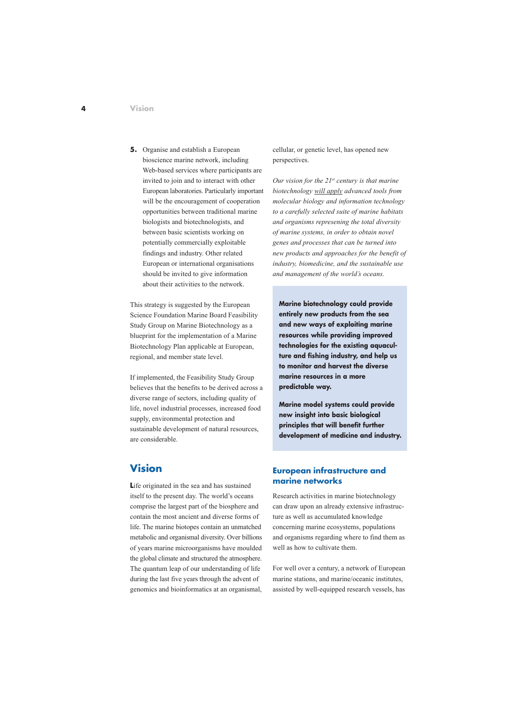**5.** Organise and establish a European bioscience marine network, including Web-based services where participants are invited to join and to interact with other European laboratories. Particularly important will be the encouragement of cooperation opportunities between traditional marine biologists and biotechnologists, and between basic scientists working on potentially commercially exploitable findings and industry. Other related European or international organisations should be invited to give information about their activities to the network.

This strategy is suggested by the European Science Foundation Marine Board Feasibility Study Group on Marine Biotechnology as a blueprint for the implementation of a Marine Biotechnology Plan applicable at European, regional, and member state level.

If implemented, the Feasibility Study Group believes that the benefits to be derived across a diverse range of sectors, including quality of life, novel industrial processes, increased food supply, environmental protection and sustainable development of natural resources, are considerable.

# **Vision**

Life originated in the sea and has sustained itself to the present day. The world's oceans comprise the largest part of the biosphere and contain the most ancient and diverse forms of life. The marine biotopes contain an unmatched metabolic and organismal diversity. Over billions of years marine microorganisms have moulded the global climate and structured the atmosphere. The quantum leap of our understanding of life during the last five years through the advent of genomics and bioinformatics at an organismal, cellular, or genetic level, has opened new perspectives.

*Our vision for the 21st century is that marine biotechnology will apply advanced tools from molecular biology and information technology to a carefully selected suite of marine habitats and organisms represening the total diversity of marine systems, in order to obtain novel genes and processes that can be turned into new products and approaches for the benefit of industry, biomedicine, and the sustainable use and management of the world's oceans.*

**Marine biotechnology could provide entirely new products from the sea and new ways of exploiting marine resources while providing improved technologies for the existing aquaculture and fishing industry, and help us to monitor and harvest the diverse marine resources in a more predictable way.**

**Marine model systems could provide new insight into basic biological principles that will benefit further development of medicine and industry.**

## **European infrastructure and marine networks**

Research activities in marine biotechnology can draw upon an already extensive infrastructure as well as accumulated knowledge concerning marine ecosystems, populations and organisms regarding where to find them as well as how to cultivate them.

For well over a century, a network of European marine stations, and marine/oceanic institutes, assisted by well-equipped research vessels, has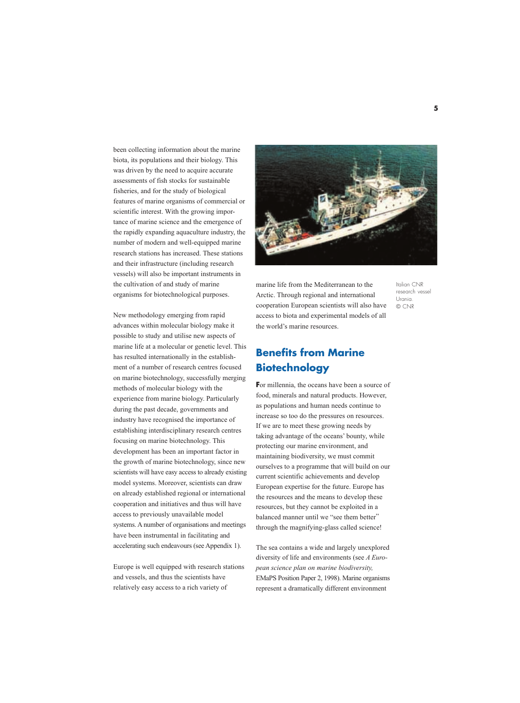been collecting information about the marine biota, its populations and their biology. This was driven by the need to acquire accurate assessments of fish stocks for sustainable fisheries, and for the study of biological features of marine organisms of commercial or scientific interest. With the growing importance of marine science and the emergence of the rapidly expanding aquaculture industry, the number of modern and well-equipped marine research stations has increased. These stations and their infrastructure (including research vessels) will also be important instruments in the cultivation of and study of marine organisms for biotechnological purposes.

New methodology emerging from rapid advances within molecular biology make it possible to study and utilise new aspects of marine life at a molecular or genetic level. This has resulted internationally in the establishment of a number of research centres focused on marine biotechnology, successfully merging methods of molecular biology with the experience from marine biology. Particularly during the past decade, governments and industry have recognised the importance of establishing interdisciplinary research centres focusing on marine biotechnology. This development has been an important factor in the growth of marine biotechnology, since new scientists will have easy access to already existing model systems. Moreover, scientists can draw on already established regional or international cooperation and initiatives and thus will have access to previously unavailable model systems. A number of organisations and meetings have been instrumental in facilitating and accelerating such endeavours (see Appendix 1).

Europe is well equipped with research stations and vessels, and thus the scientists have relatively easy access to a rich variety of



marine life from the Mediterranean to the Arctic. Through regional and international cooperation European scientists will also have access to biota and experimental models of all the world's marine resources.

Italian CNR research vessel Urania. © CNR

# **Benefits from Marine Biotechnology**

**F**or millennia, the oceans have been a source of food, minerals and natural products. However, as populations and human needs continue to increase so too do the pressures on resources. If we are to meet these growing needs by taking advantage of the oceans' bounty, while protecting our marine environment, and maintaining biodiversity, we must commit ourselves to a programme that will build on our current scientific achievements and develop European expertise for the future. Europe has the resources and the means to develop these resources, but they cannot be exploited in a balanced manner until we "see them better" through the magnifying-glass called science!

The sea contains a wide and largely unexplored diversity of life and environments (see *A European science plan on marine biodiversity,* EMaPS Position Paper 2, 1998). Marine organisms represent a dramatically different environment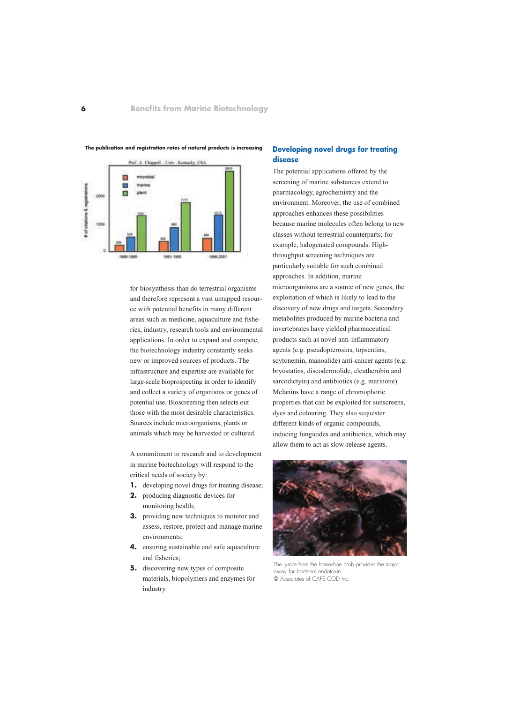

**The publication and registration rates of natural products is increasing**

for biosynthesis than do terrestrial organisms and therefore represent a vast untapped resource with potential benefits in many different areas such as medicine, aquaculture and fisheries, industry, research tools and environmental applications. In order to expand and compete, the biotechnology industry constantly seeks new or improved sources of products. The infrastructure and expertise are available for large-scale bioprospecting in order to identify and collect a variety of organisms or genes of potential use. Bioscreening then selects out those with the most desirable characteristics. Sources include microorganisms, plants or animals which may be harvested or cultured.

A commitment to research and to development in marine biotechnology will respond to the critical needs of society by:

- **1.** developing novel drugs for treating disease;
- **2.** producing diagnostic devices for monitoring health;
- **3.** providing new techniques to monitor and assess, restore, protect and manage marine environments;
- **4.** ensuring sustainable and safe aquaculture and fisheries;
- **5.** discovering new types of composite materials, biopolymers and enzymes for industry.

#### **Developing novel drugs for treating disease**

The potential applications offered by the screening of marine substances extend to pharmacology, agrochemistry and the environment. Moreover, the use of combined approaches enhances these possibilities because marine molecules often belong to new classes without terrestrial counterparts; for example, halogenated compounds. Highthroughput screening techniques are particularly suitable for such combined approaches. In addition, marine microorganisms are a source of new genes, the exploitation of which is likely to lead to the discovery of new drugs and targets. Secondary metabolites produced by marine bacteria and invertebrates have yielded pharmaceutical products such as novel anti-inflammatory agents (e.g. pseudopterosins, topsentins, scytonemin, manoalide) anti-cancer agents (e.g. bryostatins, discodermolide, eleutherobin and sarcodictyin) and antibiotics (e.g. marinone). Melanins have a range of chromophoric properties that can be exploited for sunscreens, dyes and colouring. They also sequester different kinds of organic compounds, inducing fungicides and antibiotics, which may allow them to act as slow-release agents.



The lysate from the horseshoe crab provides the major assay for bacterial endotoxin. © Associates of CAPE COD Inc.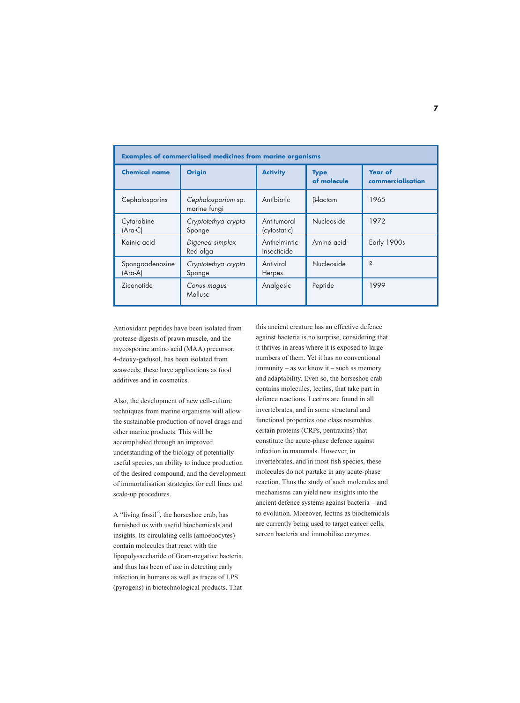| <b>Examples of commercialised medicines from marine organisms</b> |                                    |                             |                            |                                     |  |
|-------------------------------------------------------------------|------------------------------------|-----------------------------|----------------------------|-------------------------------------|--|
| <b>Chemical name</b>                                              | <b>Origin</b>                      | <b>Activity</b>             | <b>Type</b><br>of molecule | <b>Year of</b><br>commercialisation |  |
| Cephalosporins                                                    | Cephalosporium sp.<br>marine fungi | Antibiotic                  | $\beta$ -lactam            | 1965                                |  |
| Cytarabine<br>(Ara-C)                                             | Cryptotethya crypta<br>Sponge      | Antitumoral<br>(cytostatic) | Nucleoside                 | 1972                                |  |
| Kainic acid                                                       | Digenea simplex<br>Red alga        | Anthelmintic<br>Insecticide | Amino acid                 | Early 1900s                         |  |
| Spongoadenosine<br>(Ara-A)                                        | Cryptotethya crypta<br>Sponge      | Antiviral<br>Herpes         | Nucleoside                 | Ś                                   |  |
| Ziconotide                                                        | Conus magus<br>Mollusc             | Analgesic                   | Peptide                    | 1999                                |  |

Antioxidant peptides have been isolated from protease digests of prawn muscle, and the mycosporine amino acid (MAA) precursor, 4-deoxy-gadusol, has been isolated from seaweeds; these have applications as food additives and in cosmetics.

Also, the development of new cell-culture techniques from marine organisms will allow the sustainable production of novel drugs and other marine products. This will be accomplished through an improved understanding of the biology of potentially useful species, an ability to induce production of the desired compound, and the development of immortalisation strategies for cell lines and scale-up procedures.

A "living fossil", the horseshoe crab, has furnished us with useful biochemicals and insights. Its circulating cells (amoebocytes) contain molecules that react with the lipopolysaccharide of Gram-negative bacteria, and thus has been of use in detecting early infection in humans as well as traces of LPS (pyrogens) in biotechnological products. That

this ancient creature has an effective defence against bacteria is no surprise, considering that it thrives in areas where it is exposed to large numbers of them. Yet it has no conventional immunity – as we know it – such as memory and adaptability. Even so, the horseshoe crab contains molecules, lectins, that take part in defence reactions. Lectins are found in all invertebrates, and in some structural and functional properties one class resembles certain proteins (CRPs, pentraxins) that constitute the acute-phase defence against infection in mammals. However, in invertebrates, and in most fish species, these molecules do not partake in any acute-phase reaction. Thus the study of such molecules and mechanisms can yield new insights into the ancient defence systems against bacteria – and to evolution. Moreover, lectins as biochemicals are currently being used to target cancer cells, screen bacteria and immobilise enzymes.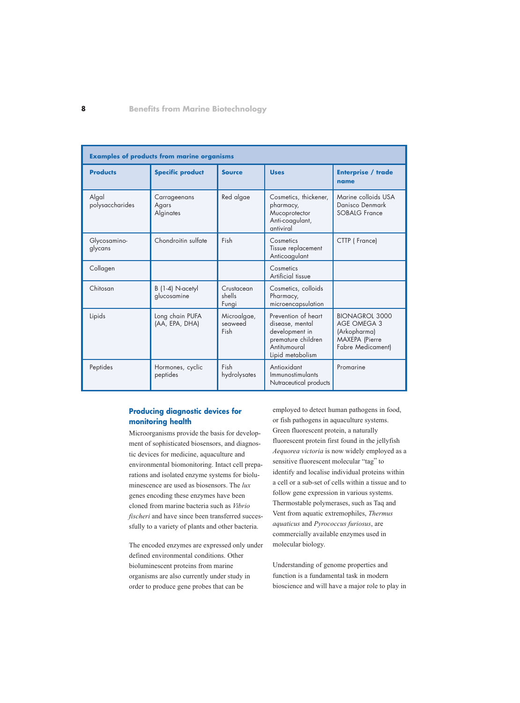| <b>Examples of products from marine organisms</b> |                                    |                                |                                                                                                                    |                                                                                                                  |
|---------------------------------------------------|------------------------------------|--------------------------------|--------------------------------------------------------------------------------------------------------------------|------------------------------------------------------------------------------------------------------------------|
| <b>Products</b>                                   | <b>Specific product</b>            | <b>Source</b>                  | <b>Uses</b>                                                                                                        | <b>Enterprise / trade</b><br>name                                                                                |
| Algal<br>polysaccharides                          | Carrageenans<br>Agars<br>Alginates | Red algae                      | Cosmetics, thickener,<br>pharmacy,<br>Mucoprotector<br>Anti-coagulant,<br>antiviral                                | Marine colloids USA<br>Danisco Denmark<br><b>SOBALG France</b>                                                   |
| Glycosamino-<br>glycans                           | Chondroitin sulfate                | Fish                           | Cosmetics<br>Tissue replacement<br>Anticoagulant                                                                   | CTTP (France)                                                                                                    |
| Collagen                                          |                                    |                                | Cosmetics<br>Artificial tissue                                                                                     |                                                                                                                  |
| Chitosan                                          | B (1-4) N-acetyl<br>glucosamine    | Crustacean<br>shells<br>Fungi  | Cosmetics, colloids<br>Pharmacy,<br>microencapsulation                                                             |                                                                                                                  |
| Lipids                                            | Long chain PUFA<br>(AA, EPA, DHA)  | Microalgae,<br>seaweed<br>Fish | Prevention of heart<br>disease, mental<br>development in<br>premature children<br>Antitumoural<br>Lipid metabolism | <b>BIONAGROL 3000</b><br><b>AGE OMEGA 3</b><br>(Arkopharma)<br><b>MAXEPA</b> (Pierre<br><b>Fabre Medicament)</b> |
| Peptides                                          | Hormones, cyclic<br>peptides       | Fish<br>hydrolysates           | Antioxidant<br>Immunostimulants<br>Nutraceutical products                                                          | Promarine                                                                                                        |

## **Producing diagnostic devices for monitoring health**

Microorganisms provide the basis for development of sophisticated biosensors, and diagnostic devices for medicine, aquaculture and environmental biomonitoring. Intact cell preparations and isolated enzyme systems for bioluminescence are used as biosensors. The *lux* genes encoding these enzymes have been cloned from marine bacteria such as *Vibrio fischeri* and have since been transferred successfully to a variety of plants and other bacteria.

The encoded enzymes are expressed only under defined environmental conditions. Other bioluminescent proteins from marine organisms are also currently under study in order to produce gene probes that can be

employed to detect human pathogens in food, or fish pathogens in aquaculture systems. Green fluorescent protein, a naturally fluorescent protein first found in the jellyfish *Aequorea victoria* is now widely employed as a sensitive fluorescent molecular "tag" to identify and localise individual proteins within a cell or a sub-set of cells within a tissue and to follow gene expression in various systems. Thermostable polymerases, such as Taq and Vent from aquatic extremophiles, *Thermus aquaticus* and *Pyrococcus furiosus*, are commercially available enzymes used in molecular biology.

Understanding of genome properties and function is a fundamental task in modern bioscience and will have a major role to play in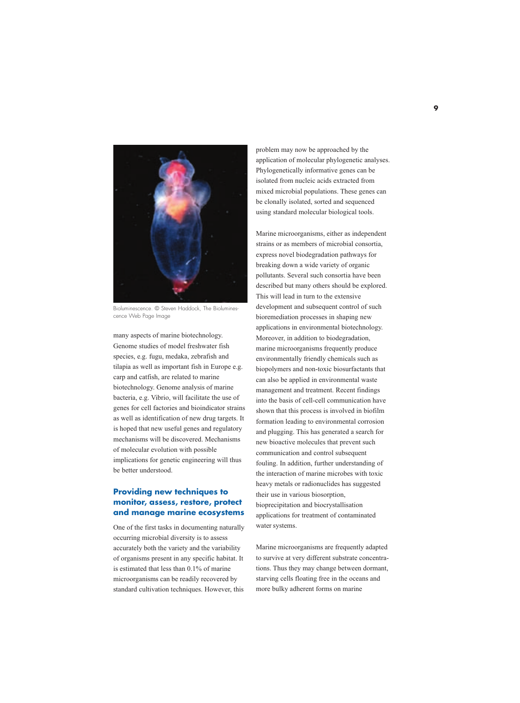

Bioluminescence. © Steven Haddock, The Bioluminescence Web Page Image

many aspects of marine biotechnology. Genome studies of model freshwater fish species, e.g. fugu, medaka, zebrafish and tilapia as well as important fish in Europe e.g. carp and catfish, are related to marine biotechnology. Genome analysis of marine bacteria, e.g. Vibrio, will facilitate the use of genes for cell factories and bioindicator strains as well as identification of new drug targets. It is hoped that new useful genes and regulatory mechanisms will be discovered. Mechanisms of molecular evolution with possible implications for genetic engineering will thus be better understood.

## **Providing new techniques to monitor, assess, restore, protect and manage marine ecosystems**

One of the first tasks in documenting naturally occurring microbial diversity is to assess accurately both the variety and the variability of organisms present in any specific habitat. It is estimated that less than 0.1% of marine microorganisms can be readily recovered by standard cultivation techniques. However, this

problem may now be approached by the application of molecular phylogenetic analyses. Phylogenetically informative genes can be isolated from nucleic acids extracted from mixed microbial populations. These genes can be clonally isolated, sorted and sequenced using standard molecular biological tools.

Marine microorganisms, either as independent strains or as members of microbial consortia, express novel biodegradation pathways for breaking down a wide variety of organic pollutants. Several such consortia have been described but many others should be explored. This will lead in turn to the extensive development and subsequent control of such bioremediation processes in shaping new applications in environmental biotechnology. Moreover, in addition to biodegradation, marine microorganisms frequently produce environmentally friendly chemicals such as biopolymers and non-toxic biosurfactants that can also be applied in environmental waste management and treatment. Recent findings into the basis of cell-cell communication have shown that this process is involved in biofilm formation leading to environmental corrosion and plugging. This has generated a search for new bioactive molecules that prevent such communication and control subsequent fouling. In addition, further understanding of the interaction of marine microbes with toxic heavy metals or radionuclides has suggested their use in various biosorption, bioprecipitation and biocrystallisation applications for treatment of contaminated water systems.

Marine microorganisms are frequently adapted to survive at very different substrate concentrations. Thus they may change between dormant, starving cells floating free in the oceans and more bulky adherent forms on marine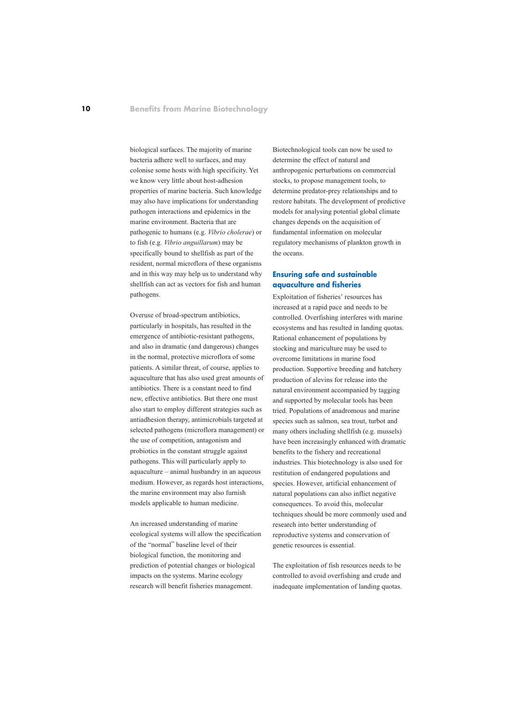biological surfaces. The majority of marine bacteria adhere well to surfaces, and may colonise some hosts with high specificity. Yet we know very little about host-adhesion properties of marine bacteria. Such knowledge may also have implications for understanding pathogen interactions and epidemics in the marine environment. Bacteria that are pathogenic to humans (e.g. *Vibrio cholerae*) or to fish (e.g. *Vibrio anguillarum*) may be specifically bound to shellfish as part of the resident, normal microflora of these organisms and in this way may help us to understand why shellfish can act as vectors for fish and human pathogens.

Overuse of broad-spectrum antibiotics, particularly in hospitals, has resulted in the emergence of antibiotic-resistant pathogens, and also in dramatic (and dangerous) changes in the normal, protective microflora of some patients. A similar threat, of course, applies to aquaculture that has also used great amounts of antibiotics. There is a constant need to find new, effective antibiotics. But there one must also start to employ different strategies such as antiadhesion therapy, antimicrobials targeted at selected pathogens (microflora management) or the use of competition, antagonism and probiotics in the constant struggle against pathogens. This will particularly apply to aquaculture – animal husbandry in an aqueous medium. However, as regards host interactions, the marine environment may also furnish models applicable to human medicine.

An increased understanding of marine ecological systems will allow the specification of the "normal" baseline level of their biological function, the monitoring and prediction of potential changes or biological impacts on the systems. Marine ecology research will benefit fisheries management.

Biotechnological tools can now be used to determine the effect of natural and anthropogenic perturbations on commercial stocks, to propose management tools, to determine predator-prey relationships and to restore habitats. The development of predictive models for analysing potential global climate changes depends on the acquisition of fundamental information on molecular regulatory mechanisms of plankton growth in the oceans.

#### **Ensuring safe and sustainable aquaculture and fisheries**

Exploitation of fisheries' resources has increased at a rapid pace and needs to be controlled. Overfishing interferes with marine ecosystems and has resulted in landing quotas. Rational enhancement of populations by stocking and mariculture may be used to overcome limitations in marine food production. Supportive breeding and hatchery production of alevins for release into the natural environment accompanied by tagging and supported by molecular tools has been tried. Populations of anadromous and marine species such as salmon, sea trout, turbot and many others including shellfish (e.g. mussels) have been increasingly enhanced with dramatic benefits to the fishery and recreational industries. This biotechnology is also used for restitution of endangered populations and species. However, artificial enhancement of natural populations can also inflict negative consequences. To avoid this, molecular techniques should be more commonly used and research into better understanding of reproductive systems and conservation of genetic resources is essential.

The exploitation of fish resources needs to be controlled to avoid overfishing and crude and inadequate implementation of landing quotas.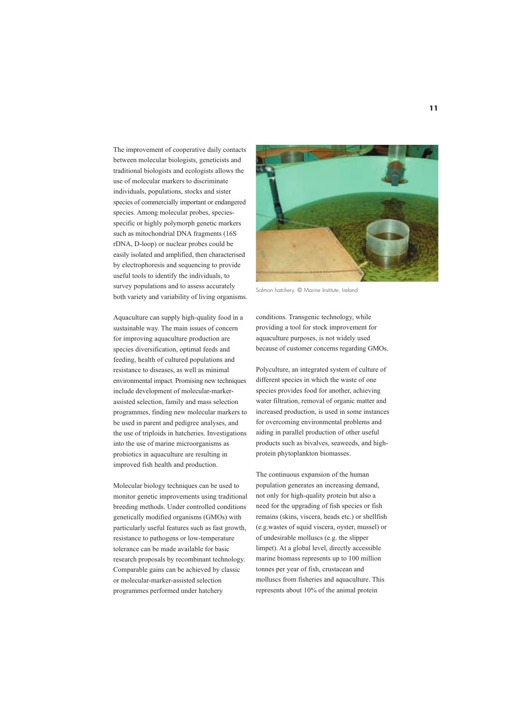The improvement of cooperative daily contacts between molecular biologists, geneticists and traditional biologists and ecologists allows the use of molecular markers to discriminate individuals, populations, stocks and sister species of commercially important or endangered species. Among molecular probes, speciesspecific or highly polymorph genetic markers such as mitochondrial DNA fragments (16S rDNA, D-loop) or nuclear probes could be easily isolated and amplified, then characterised by electrophoresis and sequencing to provide useful tools to identify the individuals, to survey populations and to assess accurately both variety and variability of living organisms.

Aquaculture can supply high-quality food in a sustainable way. The main issues of concern for improving aquaculture production are species diversification, optimal feeds and feeding, health of cultured populations and resistance to diseases, as well as minimal environmental impact. Promising new techniques include development of molecular-markerassisted selection, family and mass selection programmes, finding new molecular markers to be used in parent and pedigree analyses, and the use of triploids in hatcheries. Investigations into the use of marine microorganisms as probiotics in aquaculture are resulting in improved fish health and production.

Molecular biology techniques can be used to monitor genetic improvements using traditional breeding methods. Under controlled conditions genetically modified organisms (GMOs) with particularly useful features such as fast growth, resistance to pathogens or low-temperature tolerance can be made available for basic research proposals by recombinant technology. Comparable gains can be achieved by classic or molecular-marker-assisted selection programmes performed under hatchery



Salmon hatchery. © Marine Institute, Ireland

conditions. Transgenic technology, while providing a tool for stock improvement for aquaculture purposes, is not widely used because of customer concerns regarding GMOs.

Polyculture, an integrated system of culture of different species in which the waste of one species provides food for another, achieving water filtration, removal of organic matter and increased production, is used in some instances for overcoming environmental problems and aiding in parallel production of other useful products such as bivalves, seaweeds, and highprotein phytoplankton biomasses.

The continuous expansion of the human population generates an increasing demand, not only for high-quality protein but also a need for the upgrading of fish species or fish remains (skins, viscera, heads etc.) or shellfish (e.g.wastes of squid viscera, oyster, mussel) or of undesirable molluscs (e.g. the slipper limpet). At a global level, directly accessible marine biomass represents up to 100 million tonnes per year of fish, crustacean and molluscs from fisheries and aquaculture. This represents about 10% of the animal protein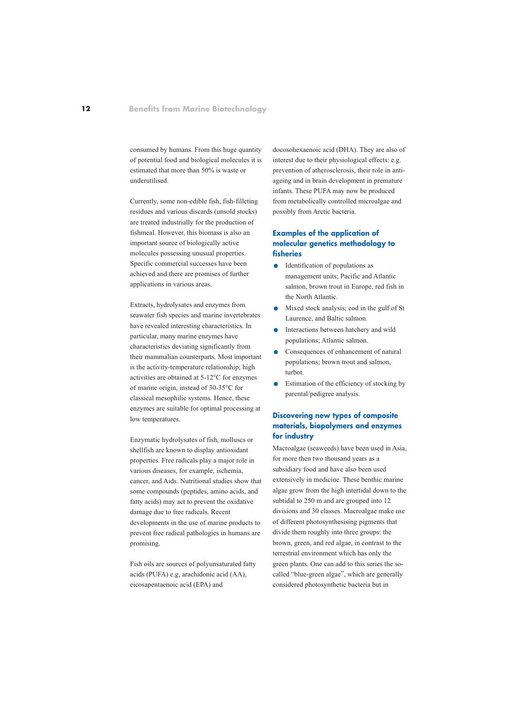consumed by humans. From this huge quantity of potential food and biological molecules it is estimated that more than 50% is waste or underutilised.

Currently, some non-edible fish, fish-filleting residues and various discards (unsold stocks) are treated industrially for the production of fishmeal. However, this biomass is also an important source of biologically active molecules possessing unusual properties. Specific commercial successes have been achieved and there are promises of further applications in various areas.

Extracts, hydrolysates and enzymes from seawater fish species and marine invertebrates have revealed interesting characteristics. In particular, many marine enzymes have characteristics deviating significantly from their mammalian counterparts. Most important is the activity-temperature relationship; high activities are obtained at 5-12°C for enzymes of marine origin, instead of 30-35°C for classical mesophilic systems. Hence, these enzymes are suitable for optimal processing at low temperatures.

Enzymatic hydrolysates of fish, molluscs or shellfish are known to display antioxidant properties. Free radicals play a major role in various diseases, for example, ischemia, cancer, and Aids. Nutritional studies show that some compounds (peptides, amino acids, and fatty acids) may act to prevent the oxidative damage due to free radicals. Recent developments in the use of marine products to prevent free radical pathologies in humans are promising.

Fish oils are sources of polyunsaturated fatty acids (PUFA) e.g, arachidonic acid (AA), eicosapentaenoic acid (EPA) and

docosohexaenoic acid (DHA). They are also of interest due to their physiological effects: e.g. prevention of atherosclerosis, their role in antiageing and in brain development in premature infants. These PUFA may now be produced from metabolically controlled microalgae and possibly from Arctic bacteria.

## **Examples of the application of molecular genetics methodology to fisheries**

- Identification of populations as management units; Pacific and Atlantic salmon, brown trout in Europe, red fish in the North Atlantic.
- **.** Mixed stock analysis; cod in the gulf of St Laurence, and Baltic salmon.
- **.** Interactions between hatchery and wild populations; Atlantic salmon.
- **.** Consequences of enhancement of natural populations; brown trout and salmon, turbot.
- **.** Estimation of the efficiency of stocking by parental/pedigree analysis.

## **Discovering new types of composite materials, biopolymers and enzymes for industry**

Macroalgae (seaweeds) have been used in Asia, for more then two thousand years as a subsidiary food and have also been used extensively in medicine. These benthic marine algae grow from the high intertidal down to the subtidal to 250 m and are grouped into 12 divisions and 30 classes. Macroalgae make use of different photosynthesising pigments that divide them roughly into three groups: the brown, green, and red algae, in contrast to the terrestrial environment which has only the green plants. One can add to this series the socalled "blue-green algae", which are generally considered photosynthetic bacteria but in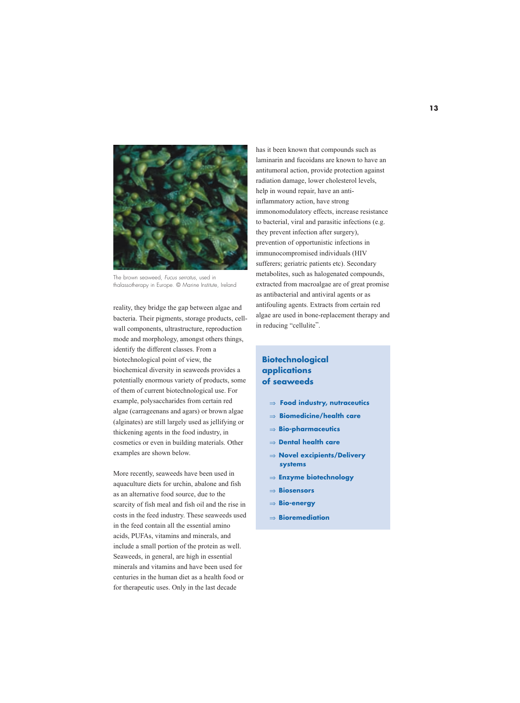

The brown seaweed, Fucus serratus, used in thalassotherapy in Europe. © Marine Institute, Ireland

reality, they bridge the gap between algae and bacteria. Their pigments, storage products, cellwall components, ultrastructure, reproduction mode and morphology, amongst others things, identify the different classes. From a biotechnological point of view, the biochemical diversity in seaweeds provides a potentially enormous variety of products, some of them of current biotechnological use. For example, polysaccharides from certain red algae (carrageenans and agars) or brown algae (alginates) are still largely used as jellifying or thickening agents in the food industry, in cosmetics or even in building materials. Other examples are shown below.

More recently, seaweeds have been used in aquaculture diets for urchin, abalone and fish as an alternative food source, due to the scarcity of fish meal and fish oil and the rise in costs in the feed industry. These seaweeds used in the feed contain all the essential amino acids, PUFAs, vitamins and minerals, and include a small portion of the protein as well. Seaweeds, in general, are high in essential minerals and vitamins and have been used for centuries in the human diet as a health food or for therapeutic uses. Only in the last decade

has it been known that compounds such as laminarin and fucoidans are known to have an antitumoral action, provide protection against radiation damage, lower cholesterol levels, help in wound repair, have an antiinflammatory action, have strong immonomodulatory effects, increase resistance to bacterial, viral and parasitic infections (e.g. they prevent infection after surgery), prevention of opportunistic infections in immunocompromised individuals (HIV sufferers; geriatric patients etc). Secondary metabolites, such as halogenated compounds, extracted from macroalgae are of great promise as antibacterial and antiviral agents or as antifouling agents. Extracts from certain red algae are used in bone-replacement therapy and in reducing "cellulite".

## **Biotechnological applications of seaweeds**

- ⇒ **Food industry, nutraceutics**
- ⇒ **Biomedicine/health care**
- ⇒ **Bio-pharmaceutics**
- ⇒ **Dental health care**
- ⇒ **Novel excipients/Delivery systems**
- ⇒ **Enzyme biotechnology**
- ⇒ **Biosensors**
- ⇒ **Bio-energy**
- ⇒ **Bioremediation**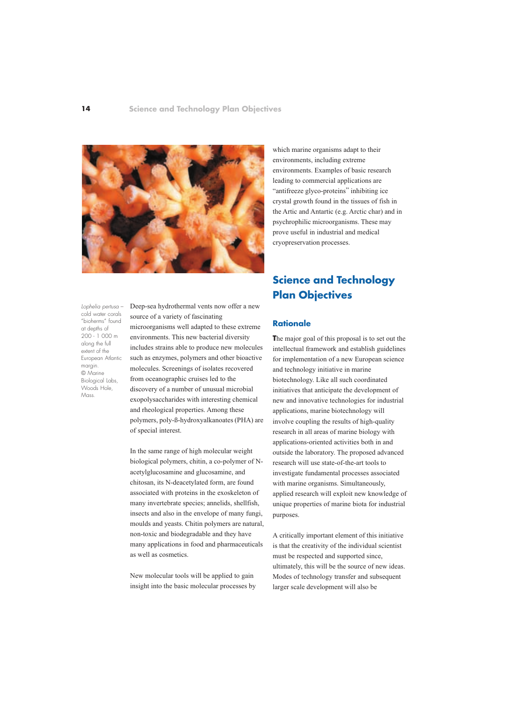

Lophelia pertusa – cold water corals "bioherms" found at depths of 200 - 1 000 m along the full extent of the European Atlantic margin. © Marine Biological Labs, Woods Hole, Mass.

Deep-sea hydrothermal vents now offer a new source of a variety of fascinating microorganisms well adapted to these extreme environments. This new bacterial diversity includes strains able to produce new molecules such as enzymes, polymers and other bioactive molecules. Screenings of isolates recovered from oceanographic cruises led to the discovery of a number of unusual microbial exopolysaccharides with interesting chemical and rheological properties. Among these polymers, poly-ß-hydroxyalkanoates (PHA) are of special interest.

In the same range of high molecular weight biological polymers, chitin, a co-polymer of Nacetylglucosamine and glucosamine, and chitosan, its N-deacetylated form, are found associated with proteins in the exoskeleton of many invertebrate species; annelids, shellfish, insects and also in the envelope of many fungi, moulds and yeasts. Chitin polymers are natural, non-toxic and biodegradable and they have many applications in food and pharmaceuticals as well as cosmetics.

New molecular tools will be applied to gain insight into the basic molecular processes by

which marine organisms adapt to their environments, including extreme environments. Examples of basic research leading to commercial applications are "antifreeze glyco-proteins" inhibiting ice crystal growth found in the tissues of fish in the Artic and Antartic (e.g. Arctic char) and in psychrophilic microorganisms. These may prove useful in industrial and medical cryopreservation processes.

# **Science and Technology Plan Objectives**

## **Rationale**

**T**he major goal of this proposal is to set out the intellectual framework and establish guidelines for implementation of a new European science and technology initiative in marine biotechnology. Like all such coordinated initiatives that anticipate the development of new and innovative technologies for industrial applications, marine biotechnology will involve coupling the results of high-quality research in all areas of marine biology with applications-oriented activities both in and outside the laboratory. The proposed advanced research will use state-of-the-art tools to investigate fundamental processes associated with marine organisms. Simultaneously, applied research will exploit new knowledge of unique properties of marine biota for industrial purposes.

A critically important element of this initiative is that the creativity of the individual scientist must be respected and supported since, ultimately, this will be the source of new ideas. Modes of technology transfer and subsequent larger scale development will also be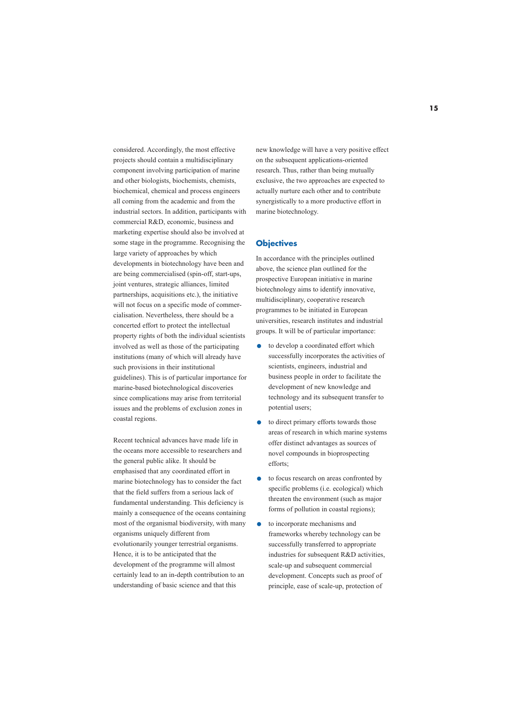considered. Accordingly, the most effective projects should contain a multidisciplinary component involving participation of marine and other biologists, biochemists, chemists, biochemical, chemical and process engineers all coming from the academic and from the industrial sectors. In addition, participants with commercial R&D, economic, business and marketing expertise should also be involved at some stage in the programme. Recognising the large variety of approaches by which developments in biotechnology have been and are being commercialised (spin-off, start-ups, joint ventures, strategic alliances, limited partnerships, acquisitions etc.), the initiative will not focus on a specific mode of commercialisation. Nevertheless, there should be a concerted effort to protect the intellectual property rights of both the individual scientists involved as well as those of the participating institutions (many of which will already have such provisions in their institutional guidelines). This is of particular importance for marine-based biotechnological discoveries since complications may arise from territorial issues and the problems of exclusion zones in coastal regions.

Recent technical advances have made life in the oceans more accessible to researchers and the general public alike. It should be emphasised that any coordinated effort in marine biotechnology has to consider the fact that the field suffers from a serious lack of fundamental understanding. This deficiency is mainly a consequence of the oceans containing most of the organismal biodiversity, with many organisms uniquely different from evolutionarily younger terrestrial organisms. Hence, it is to be anticipated that the development of the programme will almost certainly lead to an in-depth contribution to an understanding of basic science and that this

new knowledge will have a very positive effect on the subsequent applications-oriented research. Thus, rather than being mutually exclusive, the two approaches are expected to actually nurture each other and to contribute synergistically to a more productive effort in marine biotechnology.

#### **Objectives**

In accordance with the principles outlined above, the science plan outlined for the prospective European initiative in marine biotechnology aims to identify innovative, multidisciplinary, cooperative research programmes to be initiated in European universities, research institutes and industrial groups. It will be of particular importance:

- **.** to develop a coordinated effort which successfully incorporates the activities of scientists, engineers, industrial and business people in order to facilitate the development of new knowledge and technology and its subsequent transfer to potential users;
- **.** to direct primary efforts towards those areas of research in which marine systems offer distinct advantages as sources of novel compounds in bioprospecting efforts;
- **.** to focus research on areas confronted by specific problems (i.e. ecological) which threaten the environment (such as major forms of pollution in coastal regions);
- **.** to incorporate mechanisms and frameworks whereby technology can be successfully transferred to appropriate industries for subsequent R&D activities, scale-up and subsequent commercial development. Concepts such as proof of principle, ease of scale-up, protection of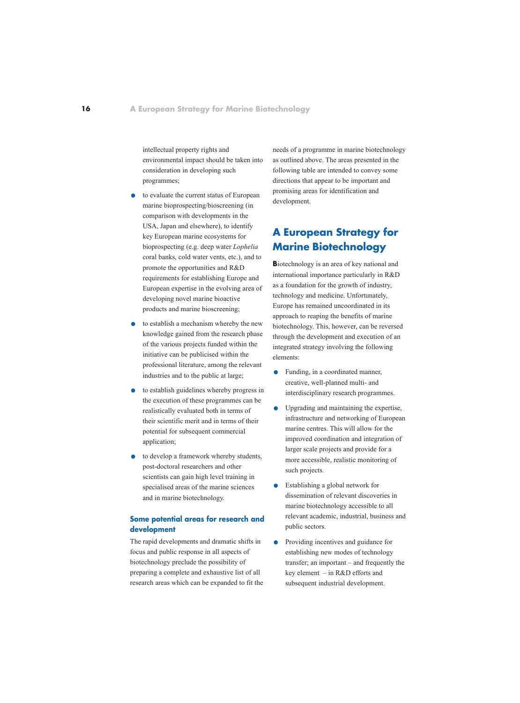intellectual property rights and environmental impact should be taken into consideration in developing such programmes;

- **.** to evaluate the current status of European marine bioprospecting/bioscreening (in comparison with developments in the USA, Japan and elsewhere), to identify key European marine ecosystems for bioprospecting (e.g. deep water *Lophelia* coral banks, cold water vents, etc.), and to promote the opportunities and R&D requirements for establishing Europe and European expertise in the evolving area of developing novel marine bioactive products and marine bioscreening;
- **.** to establish a mechanism whereby the new knowledge gained from the research phase of the various projects funded within the initiative can be publicised within the professional literature, among the relevant industries and to the public at large;
- **.** to establish guidelines whereby progress in the execution of these programmes can be realistically evaluated both in terms of their scientific merit and in terms of their potential for subsequent commercial application;
- **.** to develop a framework whereby students, post-doctoral researchers and other scientists can gain high level training in specialised areas of the marine sciences and in marine biotechnology.

## **Some potential areas for research and development**

The rapid developments and dramatic shifts in focus and public response in all aspects of biotechnology preclude the possibility of preparing a complete and exhaustive list of all research areas which can be expanded to fit the needs of a programme in marine biotechnology as outlined above. The areas presented in the following table are intended to convey some directions that appear to be important and promising areas for identification and development.

# **A European Strategy for Marine Biotechnology**

**B**iotechnology is an area of key national and international importance particularly in R&D as a foundation for the growth of industry, technology and medicine. Unfortunately, Europe has remained uncoordinated in its approach to reaping the benefits of marine biotechnology. This, however, can be reversed through the development and execution of an integrated strategy involving the following elements:

- **.** Funding, in a coordinated manner, creative, well-planned multi- and interdisciplinary research programmes.
- **.** Upgrading and maintaining the expertise, infrastructure and networking of European marine centres. This will allow for the improved coordination and integration of larger scale projects and provide for a more accessible, realistic monitoring of such projects.
- **.** Establishing a global network for dissemination of relevant discoveries in marine biotechnology accessible to all relevant academic, industrial, business and public sectors.
- **•** Providing incentives and guidance for establishing new modes of technology transfer; an important – and frequently the key element – in R&D efforts and subsequent industrial development.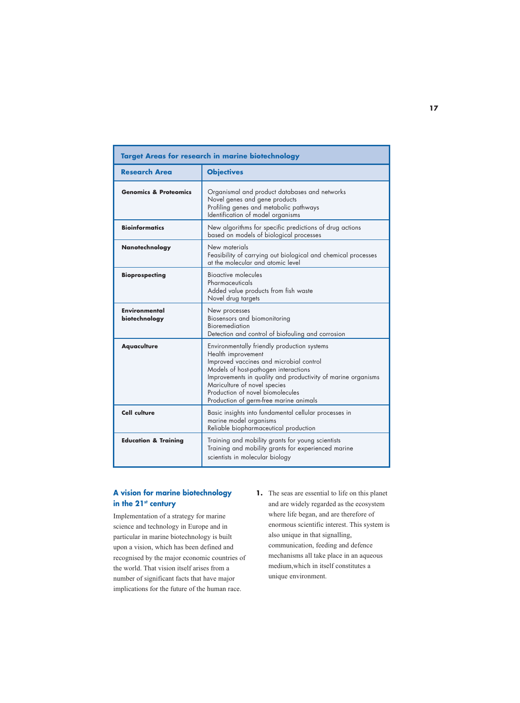| <b>Target Areas for research in marine biotechnology</b> |                                                                                                                                                                                                                                                                                                                                    |  |  |
|----------------------------------------------------------|------------------------------------------------------------------------------------------------------------------------------------------------------------------------------------------------------------------------------------------------------------------------------------------------------------------------------------|--|--|
| <b>Research Area</b>                                     | <b>Objectives</b>                                                                                                                                                                                                                                                                                                                  |  |  |
| <b>Genomics &amp; Proteomics</b>                         | Organismal and product databases and networks<br>Novel genes and gene products<br>Profiling genes and metabolic pathways<br>Identification of model organisms                                                                                                                                                                      |  |  |
| <b>Bioinformatics</b>                                    | New algorithms for specific predictions of drug actions<br>based on models of biological processes                                                                                                                                                                                                                                 |  |  |
| <b>Nanotechnology</b>                                    | New materials<br>Feasibility of carrying out biological and chemical processes<br>at the molecular and atomic level                                                                                                                                                                                                                |  |  |
| <b>Bioprospecting</b>                                    | Bioactive molecules<br>Pharmaceuticals<br>Added value products from fish waste<br>Novel drug targets                                                                                                                                                                                                                               |  |  |
| <b>Environmental</b><br>biotechnology                    | New processes<br>Biosensors and biomonitoring<br><b>Bioremediation</b><br>Detection and control of biofouling and corrosion                                                                                                                                                                                                        |  |  |
| <b>Aquaculture</b>                                       | Environmentally friendly production systems<br>Health improvement<br>Improved vaccines and microbial control<br>Models of host-pathogen interactions<br>Improvements in quality and productivity of marine organisms<br>Mariculture of novel species<br>Production of novel biomolecules<br>Production of germ-free marine animals |  |  |
| <b>Cell culture</b>                                      | Basic insights into fundamental cellular processes in<br>marine model organisms<br>Reliable biopharmaceutical production                                                                                                                                                                                                           |  |  |
| <b>Education &amp; Training</b>                          | Training and mobility grants for young scientists<br>Training and mobility grants for experienced marine<br>scientists in molecular biology                                                                                                                                                                                        |  |  |

## **A vision for marine biotechnology** in the 21<sup>st</sup> century

Implementation of a strategy for marine science and technology in Europe and in particular in marine biotechnology is built upon a vision, which has been defined and recognised by the major economic countries of the world. That vision itself arises from a number of significant facts that have major implications for the future of the human race.

**1.** The seas are essential to life on this planet and are widely regarded as the ecosystem where life began, and are therefore of enormous scientific interest. This system is also unique in that signalling, communication, feeding and defence mechanisms all take place in an aqueous medium,which in itself constitutes a unique environment.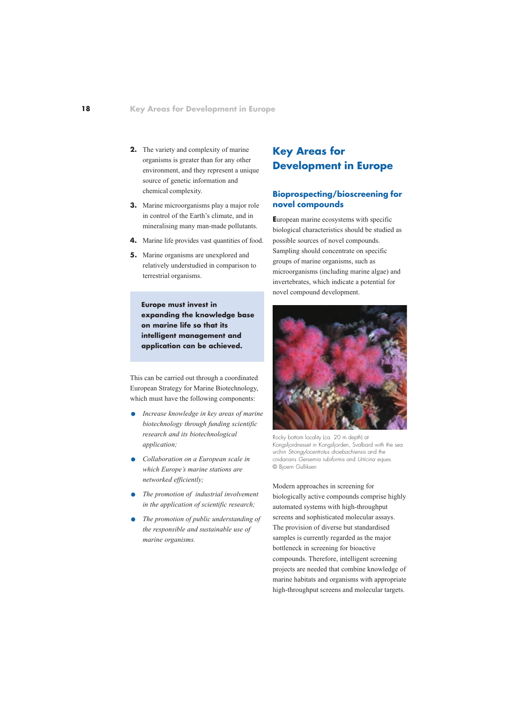- **2.** The variety and complexity of marine organisms is greater than for any other environment, and they represent a unique source of genetic information and chemical complexity.
- **3.** Marine microorganisms play a major role in control of the Earth's climate, and in mineralising many man-made pollutants.
- **4.** Marine life provides vast quantities of food.
- **5.** Marine organisms are unexplored and relatively understudied in comparison to terrestrial organisms.

**Europe must invest in expanding the knowledge base on marine life so that its intelligent management and application can be achieved.**

This can be carried out through a coordinated European Strategy for Marine Biotechnology, which must have the following components:

- **.** *Increase knowledge in key areas of marine biotechnology through funding scientific research and its biotechnological application;*
- **.** *Collaboration on a European scale in which Europe's marine stations are networked efficiently;*
- **.** *The promotion of industrial involvement in the application of scientific research;*
- **.** *The promotion of public understanding of the responsible and sustainable use of marine organisms.*

# **Key Areas for Development in Europe**

## **Bioprospecting/bioscreening for novel compounds**

**E**uropean marine ecosystems with specific biological characteristics should be studied as possible sources of novel compounds. Sampling should concentrate on specific groups of marine organisms, such as microorganisms (including marine algae) and invertebrates, which indicate a potential for novel compound development.



Rocky bottom locality (ca. 20 m depth) at Kongsfjordnesset in Kongsfjorden, Svalbard with the sea urchin Strongylocentrotus droebachiensis and the cnidarians Gersemia rubiformis and Urticina eques. © Bjoern Gulliksen

Modern approaches in screening for biologically active compounds comprise highly automated systems with high-throughput screens and sophisticated molecular assays. The provision of diverse but standardised samples is currently regarded as the major bottleneck in screening for bioactive compounds. Therefore, intelligent screening projects are needed that combine knowledge of marine habitats and organisms with appropriate high-throughput screens and molecular targets.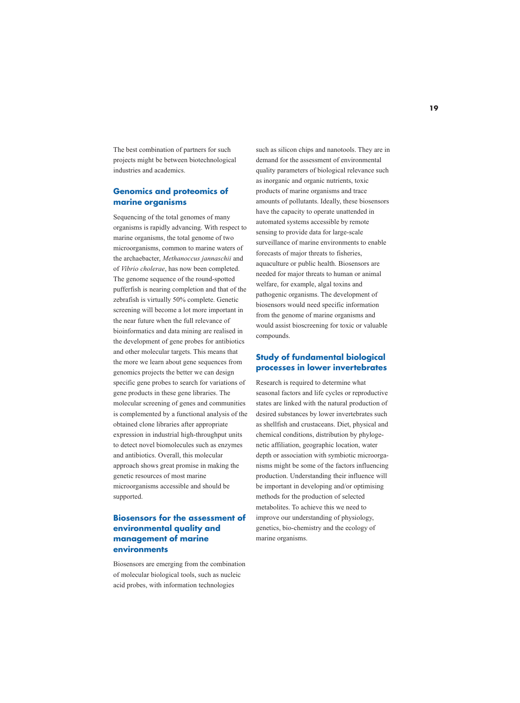The best combination of partners for such projects might be between biotechnological industries and academics.

## **Genomics and proteomics of marine organisms**

Sequencing of the total genomes of many organisms is rapidly advancing. With respect to marine organisms, the total genome of two microorganisms, common to marine waters of the archaebacter, *Methanoccus jannaschii* and of *Vibrio cholerae*, has now been completed. The genome sequence of the round-spotted pufferfish is nearing completion and that of the zebrafish is virtually 50% complete. Genetic screening will become a lot more important in the near future when the full relevance of bioinformatics and data mining are realised in the development of gene probes for antibiotics and other molecular targets. This means that the more we learn about gene sequences from genomics projects the better we can design specific gene probes to search for variations of gene products in these gene libraries. The molecular screening of genes and communities is complemented by a functional analysis of the obtained clone libraries after appropriate expression in industrial high-throughput units to detect novel biomolecules such as enzymes and antibiotics. Overall, this molecular approach shows great promise in making the genetic resources of most marine microorganisms accessible and should be supported.

## **Biosensors for the assessment of environmental quality and management of marine environments**

Biosensors are emerging from the combination of molecular biological tools, such as nucleic acid probes, with information technologies

such as silicon chips and nanotools. They are in demand for the assessment of environmental quality parameters of biological relevance such as inorganic and organic nutrients, toxic products of marine organisms and trace amounts of pollutants. Ideally, these biosensors have the capacity to operate unattended in automated systems accessible by remote sensing to provide data for large-scale surveillance of marine environments to enable forecasts of major threats to fisheries, aquaculture or public health. Biosensors are needed for major threats to human or animal welfare, for example, algal toxins and pathogenic organisms. The development of biosensors would need specific information from the genome of marine organisms and would assist bioscreening for toxic or valuable compounds.

## **Study of fundamental biological processes in lower invertebrates**

Research is required to determine what seasonal factors and life cycles or reproductive states are linked with the natural production of desired substances by lower invertebrates such as shellfish and crustaceans. Diet, physical and chemical conditions, distribution by phylogenetic affiliation, geographic location, water depth or association with symbiotic microorganisms might be some of the factors influencing production. Understanding their influence will be important in developing and/or optimising methods for the production of selected metabolites. To achieve this we need to improve our understanding of physiology, genetics, bio-chemistry and the ecology of marine organisms.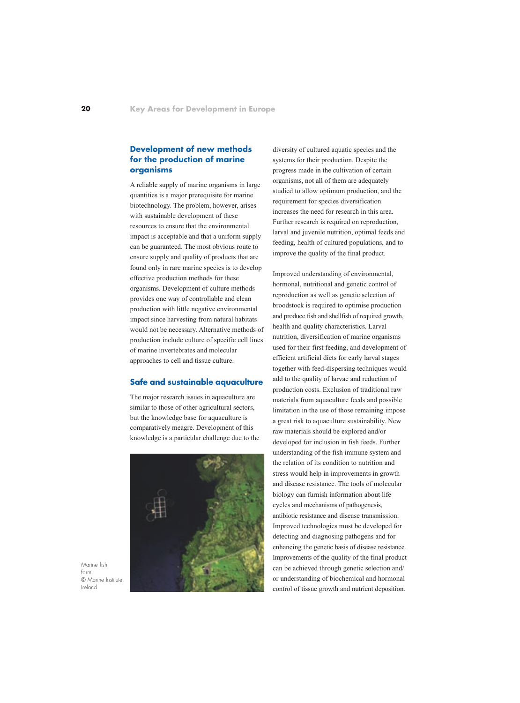## **Development of new methods for the production of marine organisms**

A reliable supply of marine organisms in large quantities is a major prerequisite for marine biotechnology. The problem, however, arises with sustainable development of these resources to ensure that the environmental impact is acceptable and that a uniform supply can be guaranteed. The most obvious route to ensure supply and quality of products that are found only in rare marine species is to develop effective production methods for these organisms. Development of culture methods provides one way of controllable and clean production with little negative environmental impact since harvesting from natural habitats would not be necessary. Alternative methods of production include culture of specific cell lines of marine invertebrates and molecular approaches to cell and tissue culture.

#### **Safe and sustainable aquaculture**

The major research issues in aquaculture are similar to those of other agricultural sectors, but the knowledge base for aquaculture is comparatively meagre. Development of this knowledge is a particular challenge due to the



Marine fish farm. © Marine Institute, Ireland

diversity of cultured aquatic species and the systems for their production. Despite the progress made in the cultivation of certain organisms, not all of them are adequately studied to allow optimum production, and the requirement for species diversification increases the need for research in this area. Further research is required on reproduction, larval and juvenile nutrition, optimal feeds and feeding, health of cultured populations, and to improve the quality of the final product.

Improved understanding of environmental, hormonal, nutritional and genetic control of reproduction as well as genetic selection of broodstock is required to optimise production and produce fish and shellfish of required growth, health and quality characteristics. Larval nutrition, diversification of marine organisms used for their first feeding, and development of efficient artificial diets for early larval stages together with feed-dispersing techniques would add to the quality of larvae and reduction of production costs. Exclusion of traditional raw materials from aquaculture feeds and possible limitation in the use of those remaining impose a great risk to aquaculture sustainability. New raw materials should be explored and/or developed for inclusion in fish feeds. Further understanding of the fish immune system and the relation of its condition to nutrition and stress would help in improvements in growth and disease resistance. The tools of molecular biology can furnish information about life cycles and mechanisms of pathogenesis, antibiotic resistance and disease transmission. Improved technologies must be developed for detecting and diagnosing pathogens and for enhancing the genetic basis of disease resistance. Improvements of the quality of the final product can be achieved through genetic selection and/ or understanding of biochemical and hormonal control of tissue growth and nutrient deposition.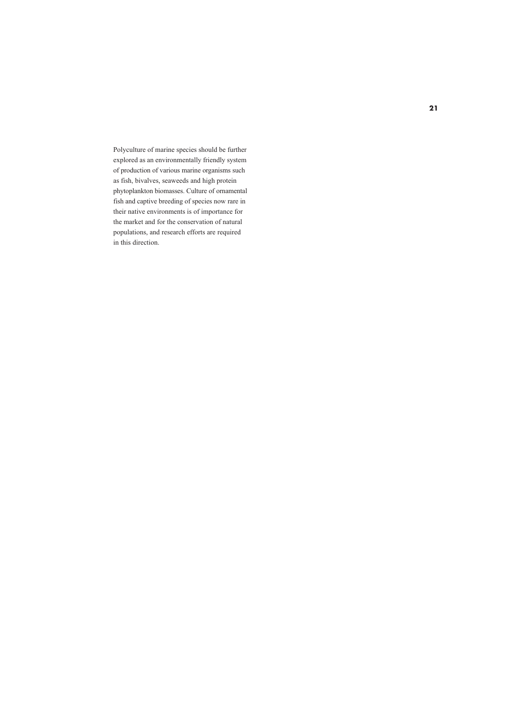Polyculture of marine species should be further explored as an environmentally friendly system of production of various marine organisms such as fish, bivalves, seaweeds and high protein phytoplankton biomasses. Culture of ornamental fish and captive breeding of species now rare in their native environments is of importance for the market and for the conservation of natural populations, and research efforts are required in this direction.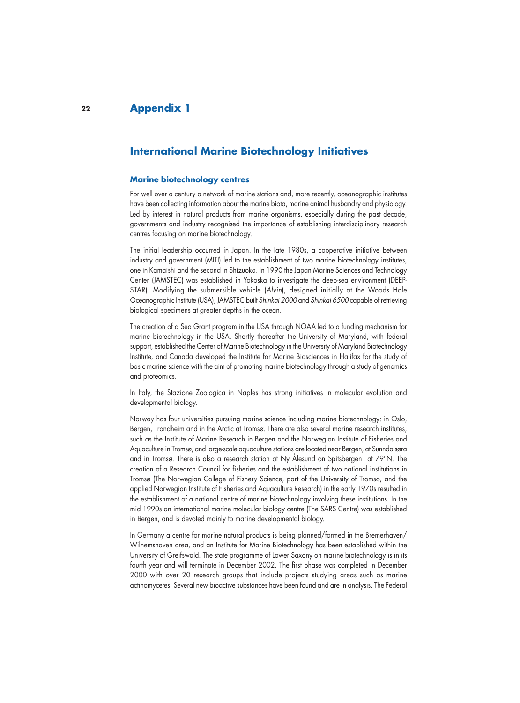#### **22 Appendix 1**

# **International Marine Biotechnology Initiatives**

#### **Marine biotechnology centres**

For well over a century a network of marine stations and, more recently, oceanographic institutes have been collecting information about the marine biota, marine animal husbandry and physiology. Led by interest in natural products from marine organisms, especially during the past decade, governments and industry recognised the importance of establishing interdisciplinary research centres focusing on marine biotechnology.

The initial leadership occurred in Japan. In the late 1980s, a cooperative initiative between industry and government (MITI) led to the establishment of two marine biotechnology institutes, one in Kamaishi and the second in Shizuoka. In 1990 the Japan Marine Sciences and Technology Center (JAMSTEC) was established in Yokoska to investigate the deep-sea environment (DEEP-STAR). Modifying the submersible vehicle (Alvin), designed initially at the Woods Hole Oceanographic Institute (USA), JAMSTEC built Shinkai 2000 and Shinkai 6500 capable of retrieving biological specimens at greater depths in the ocean.

The creation of a Sea Grant program in the USA through NOAA led to a funding mechanism for marine biotechnology in the USA. Shortly thereafter the University of Maryland, with federal support, established the Center of Marine Biotechnology in the University of Maryland Biotechnology Institute, and Canada developed the Institute for Marine Biosciences in Halifax for the study of basic marine science with the aim of promoting marine biotechnology through a study of genomics and proteomics.

In Italy, the Stazione Zoologica in Naples has strong initiatives in molecular evolution and developmental biology.

Norway has four universities pursuing marine science including marine biotechnology: in Oslo, Bergen, Trondheim and in the Arctic at Tromsø. There are also several marine research institutes, such as the Institute of Marine Research in Bergen and the Norwegian Institute of Fisheries and Aquaculture in Tromsø, and large-scale aquaculture stations are located near Bergen, at Sunndalsøra and in Tromsø. There is also a research station at Ny Ålesund on Spitsbergen at 79°N. The creation of a Research Council for fisheries and the establishment of two national institutions in Tromsø (The Norwegian College of Fishery Science, part of the University of Tromso, and the applied Norwegian Institute of Fisheries and Aquaculture Research) in the early 1970s resulted in the establishment of a national centre of marine biotechnology involving these institutions. In the mid 1990s an international marine molecular biology centre (The SARS Centre) was established in Bergen, and is devoted mainly to marine developmental biology.

In Germany a centre for marine natural products is being planned/formed in the Bremerhaven/ Wilhemshaven area, and an Institute for Marine Biotechnology has been established within the University of Greifswald. The state programme of Lower Saxony on marine biotechnology is in its fourth year and will terminate in December 2002. The first phase was completed in December 2000 with over 20 research groups that include projects studying areas such as marine actinomycetes. Several new bioactive substances have been found and are in analysis. The Federal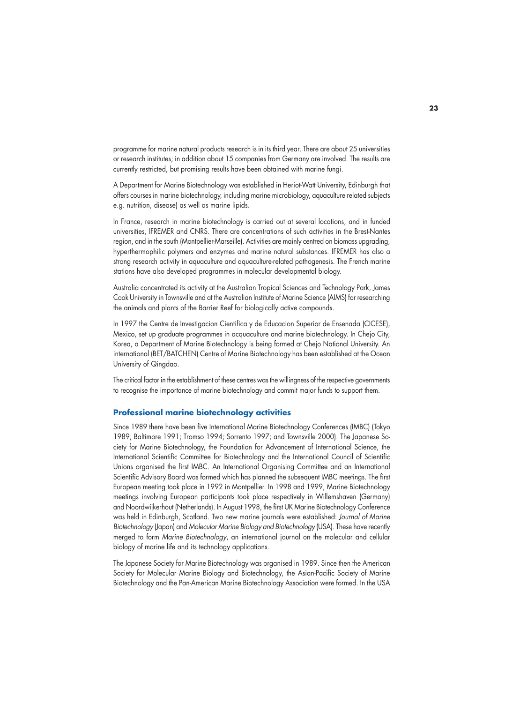programme for marine natural products research is in its third year. There are about 25 universities or research institutes; in addition about 15 companies from Germany are involved. The results are currently restricted, but promising results have been obtained with marine fungi.

A Department for Marine Biotechnology was established in Heriot-Watt University, Edinburgh that offers courses in marine biotechnology, including marine microbiology, aquaculture related subjects e.g. nutrition, disease) as well as marine lipids.

In France, research in marine biotechnology is carried out at several locations, and in funded universities, IFREMER and CNRS. There are concentrations of such activities in the Brest-Nantes region, and in the south (Montpellier-Marseille). Activities are mainly centred on biomass upgrading, hyperthermophilic polymers and enzymes and marine natural substances. IFREMER has also a strong research activity in aquaculture and aquaculture-related pathogenesis. The French marine stations have also developed programmes in molecular developmental biology.

Australia concentrated its activity at the Australian Tropical Sciences and Technology Park, James Cook University in Townsville and at the Australian Institute of Marine Science (AIMS) for researching the animals and plants of the Barrier Reef for biologically active compounds.

In 1997 the Centre de Investigacion Cientifica y de Educacion Superior de Ensenada (CICESE), Mexico, set up graduate programmes in acquaculture and marine biotechnology. In Chejo City, Korea, a Department of Marine Biotechnology is being formed at Chejo National University. An international (BET/BATCHEN) Centre of Marine Biotechnology has been established at the Ocean University of Qingdao.

The critical factor in the establishment of these centres was the willingness of the respective governments to recognise the importance of marine biotechnology and commit major funds to support them.

#### **Professional marine biotechnology activities**

Since 1989 there have been five International Marine Biotechnology Conferences (IMBC) (Tokyo 1989; Baltimore 1991; Tromso 1994; Sorrento 1997; and Townsville 2000). The Japanese Society for Marine Biotechnology, the Foundation for Advancement of International Science, the International Scientific Committee for Biotechnology and the International Council of Scientific Unions organised the first IMBC. An International Organising Committee and an International Scientific Advisory Board was formed which has planned the subsequent IMBC meetings. The first European meeting took place in 1992 in Montpellier. In 1998 and 1999, Marine Biotechnology meetings involving European participants took place respectively in Willemshaven (Germany) and Noordwijkerhout (Netherlands). In August 1998, the first UK Marine Biotechnology Conference was held in Edinburgh, Scotland. Two new marine journals were established: Journal of Marine Biotechnology (Japan) and Molecular Marine Biology and Biotechnology (USA). These have recently merged to form Marine Biotechnology, an international journal on the molecular and cellular biology of marine life and its technology applications.

The Japanese Society for Marine Biotechnology was organised in 1989. Since then the American Society for Molecular Marine Biology and Biotechnology, the Asian-Pacific Society of Marine Biotechnology and the Pan-American Marine Biotechnology Association were formed. In the USA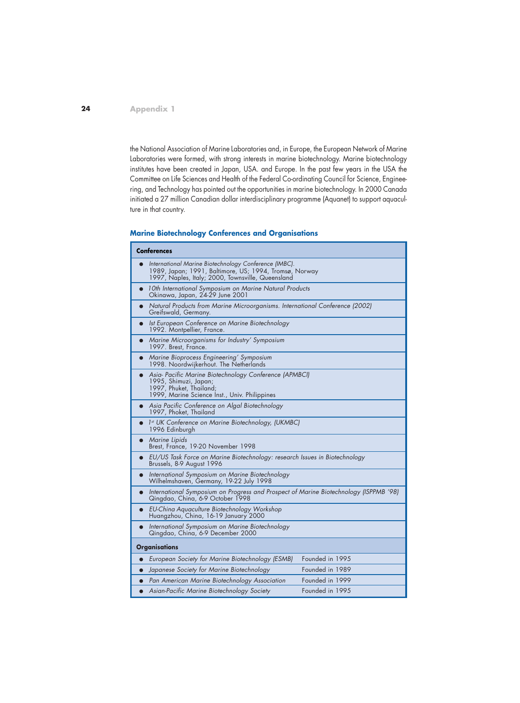**24**

the National Association of Marine Laboratories and, in Europe, the European Network of Marine Laboratories were formed, with strong interests in marine biotechnology. Marine biotechnology institutes have been created in Japan, USA. and Europe. In the past few years in the USA the Committee on Life Sciences and Health of the Federal Co-ordinating Council for Science, Engineering, and Technology has pointed out the opportunities in marine biotechnology. In 2000 Canada initiated a 27 million Canadian dollar interdisciplinary programme (Aquanet) to support aquaculture in that country.

## **Marine Biotechnology Conferences and Organisations**

| <b>Conferences</b>                                                                                                                                                       |                 |
|--------------------------------------------------------------------------------------------------------------------------------------------------------------------------|-----------------|
| International Marine Biotechnology Conference (IMBC).<br>1989, Japan; 1991, Baltimore, US; 1994, Tromsø, Norway<br>1997, Naples, Italy; 2000, Townsville, Queensland     |                 |
| 10th International Symposium on Marine Natural Products<br>$\bullet$<br>Okinawa, Japan, 24-29 June 2001                                                                  |                 |
| Natural Products from Marine Microorganisms. International Conference (2002)<br>$\bullet$<br>Greifswald, Germany.                                                        |                 |
| Ist European Conference on Marine Biotechnology<br>$\bullet$<br>1992. Montpellier, France.                                                                               |                 |
| Marine Microorganisms for Industry' Symposium<br>1997. Brest, France.                                                                                                    |                 |
| Marine Bioprocess Engineering' Symposium<br>1998. Noordwijkerhout. The Netherlands                                                                                       |                 |
| Asia- Pacific Marine Biotechnology Conference (APMBCI)<br>$\bullet$<br>1995, Shimuzi, Japan;<br>1997, Phuket, Thailand;<br>1999, Marine Science Inst., Univ. Philippines |                 |
| Asia Pacific Conference on Algal Biotechnology<br>1997, Phoket, Thailand                                                                                                 |                 |
| 1st UK Conference on Marine Biotechnology, (UKMBC)<br>1996 Edinburgh                                                                                                     |                 |
| Marine Lipids<br>Brest, France, 19-20 November 1998                                                                                                                      |                 |
| EU/US Task Force on Marine Biotechnology: research Issues in Biotechnology<br>Brussels, 8-9 August 1996                                                                  |                 |
| International Symposium on Marine Biotechnology<br>$\bullet$<br>Wilhelmshaven, Germany, 19-22 July 1998                                                                  |                 |
| International Symposium on Progress and Prospect of Marine Biotechnology (ISPPMB '98)<br>$\bullet$<br>Qingdao, China, 6-9 October 1998                                   |                 |
| EU-China Aquaculture Biotechnology Workshop<br>Huangzhou, China, 16-19 January 2000                                                                                      |                 |
| International Symposium on Marine Biotechnology<br>$\bullet$<br>Qingdao, China, 6-9 December 2000                                                                        |                 |
| <b>Organisations</b>                                                                                                                                                     |                 |
| European Society for Marine Biotechnology (ESMB)<br>$\bullet$                                                                                                            | Founded in 1995 |
| Japanese Society for Marine Biotechnology<br>$\bullet$                                                                                                                   | Founded in 1989 |
| Pan American Marine Biotechnology Association                                                                                                                            | Founded in 1999 |
| Asian-Pacific Marine Biotechnology Society                                                                                                                               | Founded in 1995 |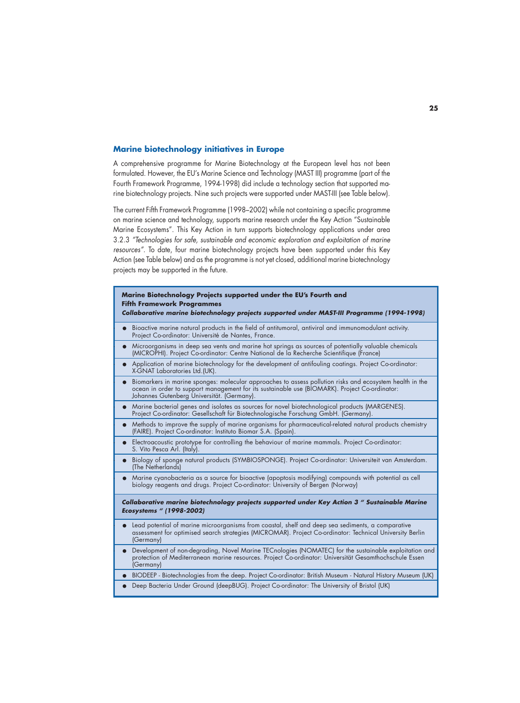#### **Marine biotechnology initiatives in Europe**

A comprehensive programme for Marine Biotechnology at the European level has not been formulated. However, the EU's Marine Science and Technology (MAST III) programme (part of the Fourth Framework Programme, 1994-1998) did include a technology section that supported marine biotechnology projects. Nine such projects were supported under MAST-III (see Table below).

The current Fifth Framework Programme (1998–2002) while not containing a specific programme on marine science and technology, supports marine research under the Key Action "Sustainable Marine Ecosystems". This Key Action in turn supports biotechnology applications under area 3.2.3 "Technologies for safe, sustainable and economic exploration and exploitation of marine resources". To date, four marine biotechnology projects have been supported under this Key Action (see Table below) and as the programme is not yet closed, additional marine biotechnology projects may be supported in the future.

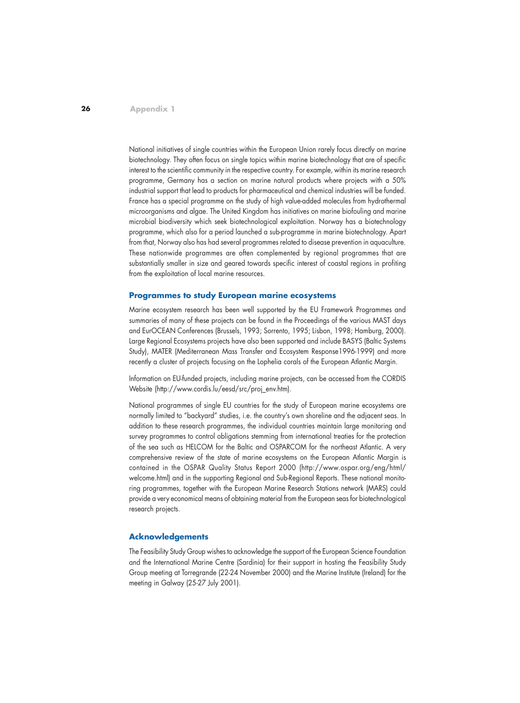National initiatives of single countries within the European Union rarely focus directly on marine biotechnology. They often focus on single topics within marine biotechnology that are of specific interest to the scientific community in the respective country. For example, within its marine research programme, Germany has a section on marine natural products where projects with a 50% industrial support that lead to products for pharmaceutical and chemical industries will be funded. France has a special programme on the study of high value-added molecules from hydrothermal microorganisms and algae. The United Kingdom has initiatives on marine biofouling and marine microbial biodiversity which seek biotechnological exploitation. Norway has a biotechnology programme, which also for a period launched a sub-programme in marine biotechnology. Apart from that, Norway also has had several programmes related to disease prevention in aquaculture. These nationwide programmes are often complemented by regional programmes that are substantially smaller in size and geared towards specific interest of coastal regions in profiting from the exploitation of local marine resources.

#### **Programmes to study European marine ecosystems**

Marine ecosystem research has been well supported by the EU Framework Programmes and summaries of many of these projects can be found in the Proceedings of the various MAST days and EurOCEAN Conferences (Brussels, 1993; Sorrento, 1995; Lisbon, 1998; Hamburg, 2000). Large Regional Ecosystems projects have also been supported and include BASYS (Baltic Systems Study), MATER (Mediterranean Mass Transfer and Ecosystem Response1996-1999) and more recently a cluster of projects focusing on the Lophelia corals of the European Atlantic Margin.

Information on EU-funded projects, including marine projects, can be accessed from the CORDIS Website (http://www.cordis.lu/eesd/src/proj\_env.htm).

National programmes of single EU countries for the study of European marine ecosystems are normally limited to "backyard" studies, i.e. the country's own shoreline and the adjacent seas. In addition to these research programmes, the individual countries maintain large monitoring and survey programmes to control obligations stemming from international treaties for the protection of the sea such as HELCOM for the Baltic and OSPARCOM for the northeast Atlantic. A very comprehensive review of the state of marine ecosystems on the European Atlantic Margin is contained in the OSPAR Quality Status Report 2000 (http://www.ospar.org/eng/html/ welcome.html) and in the supporting Regional and Sub-Regional Reports. These national monitoring programmes, together with the European Marine Research Stations network (MARS) could provide a very economical means of obtaining material from the European seas for biotechnological research projects.

#### **Acknowledgements**

The Feasibility Study Group wishes to acknowledge the support of the European Science Foundation and the International Marine Centre (Sardinia) for their support in hosting the Feasibility Study Group meeting at Torregrande (22-24 November 2000) and the Marine Institute (Ireland) for the meeting in Galway (25-27 July 2001).